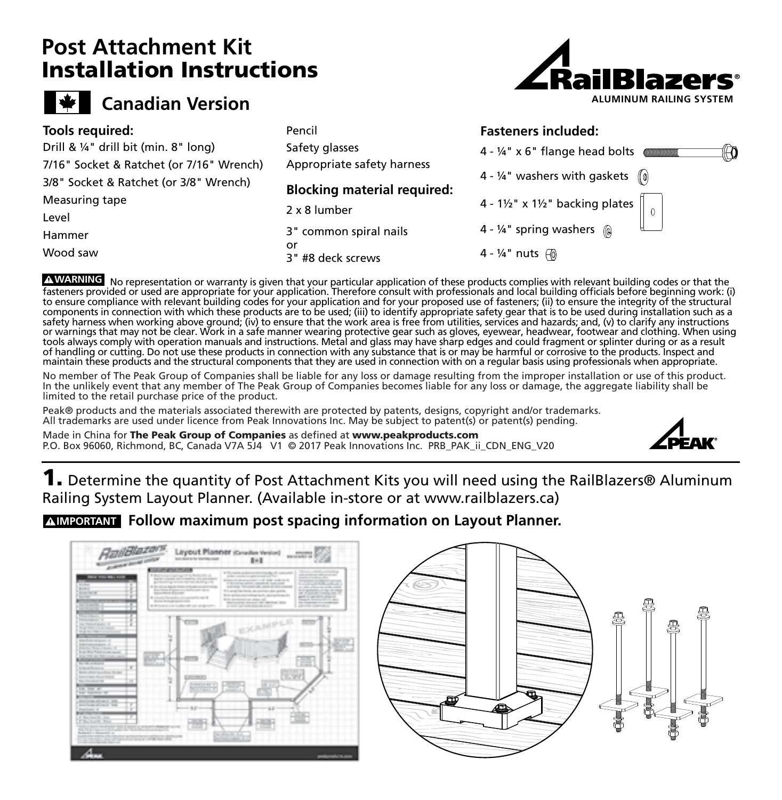## **Post Attachment Kit** Installation Instructions



## N.

## **Tools required:**

Hammer 3/8" Socket & Ratchet (or 3/8" Wrench) **ADVERTENCIA** Measuring tape Drill & ¼" drill bit (min. 8" long) 7/16" Socket & Ratchet (or 7/16" Wrench) Level

Wood saw

Pencil Safety glasses Appropriate safety harness

**Blocking material required:**

2 x 8 lumber

3" common spiral nails or 3" #8 deck screws





A WARNING No representation or warranty is given that your particular application of these products complies with relevant building codes or that the fasteners provided or used are appropriate for your application. Therefore consult with professionals and local building officials before beginning work: (i) to ensure compliance with relevant building codes for your application and for your proposed use of fasteners; (ii) to ensure the integrity of the structural components in connection with which these products are to be used; (iii) to identify appropriate safety gear that is to be used during installation such as a<br>safety harness when working above ground; (iv) to ensure that t or warnings that may not be clear. Work in a safe manner wearing protective gear such as gloves, eyewear, headwear, footwear and clothing. When using<br>tools always comply with operation manuals and instructions. Metal and g maintain these products and the structural components that they are used in connection with on a regular basis using professionals when appropriate. ensure compila<br>mnononts in *c*o Warnings that ma

No member of The Peak Group of Companies shall be liable for any loss or damage resulting from the improper installation or use of this product. In the unlikely event that any member of The Peak Group of Companies becomes liable for any loss or damage, the aggregate liability shall be limited to the retail purchase price of the product.

Peak® products and the materials associated therewith are protected by patents, designs, copyright and/or trademarks. All trademarks are used under licence from Peak Innovations Inc. May be subject to patent(s) or patent(s) pending.

Made in China for The Peak Group of Companies as defined at [www.peakproducts.com](http://www.peakproducts.com/) P.O. Box 96060, Richmond, BC, Canada V7A 5J4 V1 © 2017 Peak Innovations Inc. PRB\_PAK\_ii\_CDN\_ENG\_V20



1. Determine the quantity of Post Attachment Kits you will need using the RailBlazers® Aluminum Railing System Layout Planner. (Available in-store or at www.railblazers.ca)

## **Follow maximum post spacing information on Layout Planner. IMPORTANT**



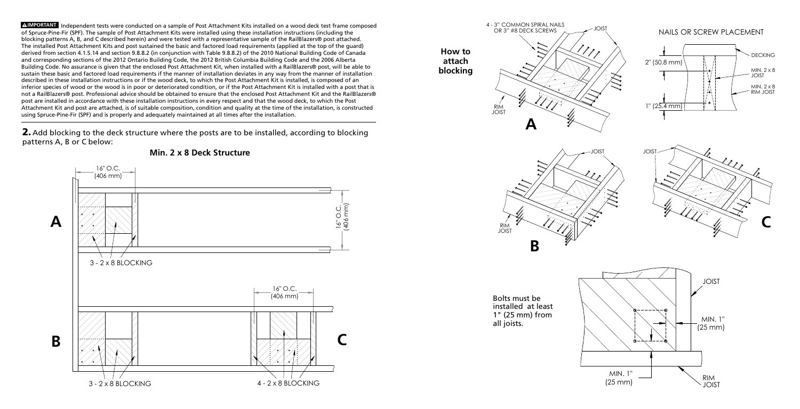Independent tests were conducted on a sample of Post Attachment Kits installed on a wood deck test frame composed **IMPORTANT** of Spruce-Pine-Fir (SPF). The sample of Post Attachment Kits were installed using these installation instructions (including the blocking patterns A, B, and C described herein) and were tested with a representative sample of the RailBlazers® post attached. The installed Post Attachment Kits and post sustained the basic and factored load requirements (applied at the top of the guard) derived from section 4.1.5.14 and section 9.8.8.2 (in conjunction with Table 9.8.8.2) of the 2010 National Building Code of Canada **GREEK FR**and corresponding sections of the 2012 Ontario Building Code, the 2012 British Columbia Building Code and the 2006 Alberta Building Code. No assurance is given that the enclosed Post Attachment Kit, when installed with a RailBlazers® post, will be able to sustain these basic and factored load requirements if the manner of installation deviates in any way from the manner of installation described in these installation instructions or if the wood deck, to which the Post Attachment Kit is installed, is composed of an inferior species of wood or the wood is in poor or deteriorated condition, or if the Post Attachment Kit is installed with a post that is not a RailBlazers® post. Professional advice should be obtained to ensure that the enclosed Post Attachment Kit and the RailBlazers® post are installed in accordance with these installation instructions in every respect and that the wood deck, to which the Post Attachment Kit and post are attached, is of suitable composition, condition and quality at the time of the installation, is constructed using Spruce-Pine-Fir (SPF) and is properly and adequately maintained at all times after the installation.

2. Add blocking to the deck structure where the posts are to be installed, according to blocking patterns A, B or C below: